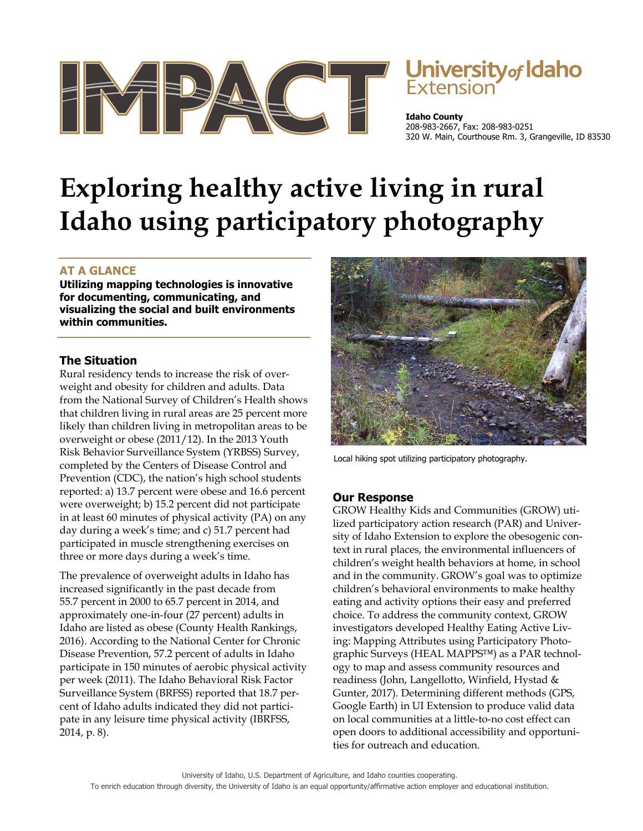

# Jniversity<sub>of</sub> Idaho

**Idaho County**  208-983-2667, Fax: 208-983-0251 320 W. Main, Courthouse Rm. 3, Grangeville, ID 83530

# **Exploring healthy active living in rural Idaho using participatory photography**

## **AT A GLANCE**

**Utilizing mapping technologies is innovative for documenting, communicating, and visualizing the social and built environments within communities.** 

### **The Situation**

Rural residency tends to increase the risk of overweight and obesity for children and adults. Data from the National Survey of Children's Health shows that children living in rural areas are 25 percent more likely than children living in metropolitan areas to be overweight or obese (2011/12). In the 2013 Youth Risk Behavior Surveillance System (YRBSS) Survey, completed by the Centers of Disease Control and Prevention (CDC), the nation's high school students reported: a) 13.7 percent were obese and 16.6 percent were overweight; b) 15.2 percent did not participate in at least 60 minutes of physical activity (PA) on any day during a week's time; and c) 51.7 percent had participated in muscle strengthening exercises on three or more days during a week's time.

The prevalence of overweight adults in Idaho has increased significantly in the past decade from 55.7 percent in 2000 to 65.7 percent in 2014, and approximately one-in-four (27 percent) adults in Idaho are listed as obese (County Health Rankings, 2016). According to the National Center for Chronic Disease Prevention, 57.2 percent of adults in Idaho participate in 150 minutes of aerobic physical activity per week (2011). The Idaho Behavioral Risk Factor Surveillance System (BRFSS) reported that 18.7 percent of Idaho adults indicated they did not participate in any leisure time physical activity (IBRFSS, 2014, p. 8).



Local hiking spot utilizing participatory photography.

#### **Our Response**

GROW Healthy Kids and Communities (GROW) utilized participatory action research (PAR) and University of Idaho Extension to explore the obesogenic context in rural places, the environmental influencers of children's weight health behaviors at home, in school and in the community. GROW's goal was to optimize children's behavioral environments to make healthy eating and activity options their easy and preferred choice. To address the community context, GROW investigators developed Healthy Eating Active Living: Mapping Attributes using Participatory Photographic Surveys (HEAL MAPPS™) as a PAR technology to map and assess community resources and readiness (John, Langellotto, Winfield, Hystad & Gunter, 2017). Determining different methods (GPS, Google Earth) in UI Extension to produce valid data on local communities at a little-to-no cost effect can open doors to additional accessibility and opportunities for outreach and education.